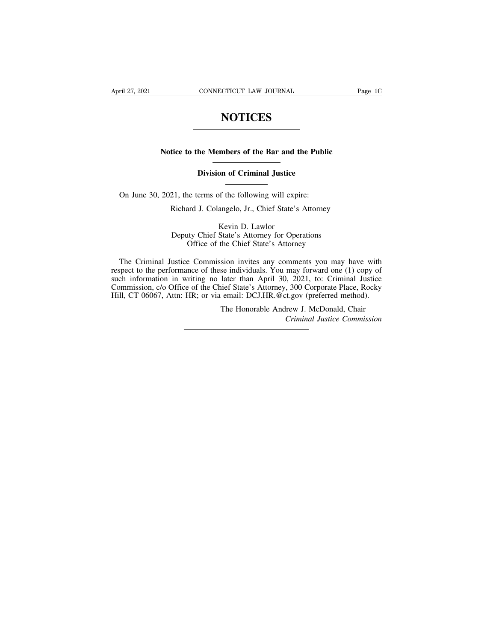## **NOTICES**

## **NOTICES**<br>
Notice to the Members of the Bar and the Public<br>
Division of Criminal Institute Notice to the Members of the Bar and the Public<br>
Division of Criminal Justice

Notice to the Members of the Bar and the Publi<br>
Division of Criminal Justice<br>
On June 30, 2021, the terms of the following will expire:<br>
Richard J. Colangelo, Jr., Chief State's Attorney

The Richard J. Colangelo, Jr., Chief State's Attorney<br>
Richard J. Colangelo, Jr., Chief State's Attorney<br>
Kevin D. Lawlor

on of Criminal Justice<br>of the following will exp<br>angelo, Jr., Chief State's<br>Kevin D. Lawlor<br>State's Attorney for Ope<br>the Chief State's Attorn 21, the terms of the following will expire:<br>
Richard J. Colangelo, Jr., Chief State's Attorney<br>
Kevin D. Lawlor<br>
Deputy Chief State's Attorney for Operations<br>
Office of the Chief State's Attorney The terms of the following will expire:<br>
ard J. Colangelo, Jr., Chief State's Attorney<br>
Kevin D. Lawlor<br>
ty Chief State's Attorney for Operations<br>
Office of the Chief State's Attorney<br>
e Commission invites any comments you

Richard J. Colangelo, Jr., Chief State's Attorney<br>
Kevin D. Lawlor<br>
Deputy Chief State's Attorney for Operations<br>
Office of the Chief State's Attorney<br>
The Criminal Justice Commission invites any comments you may have with Free Sevin D. Lawlor<br>
Sevin D. Lawlor<br>
Check State's Attorney for Operations<br>
Office of the Chief State's Attorney<br>
The Criminal Justice Commission invites any comments you may have with<br>
respect to the performance of thes Such information in Wievin D. Lawlor<br>
Such information of the Chief State's Attorney<br>
The Criminal Justice Commission invites any comments you may have with<br>
respect to the performance of these individuals. You may forward Deputy Chief State's Attorney for Operations<br>
Office of the Chief State's Attorney<br>
The Criminal Justice Commission invites any comments you may have with<br>
respect to the performance of these individuals. You may forward o The Criminal Justice Commission invites any comments you may have with<br>respect to the performance of these individuals. You may forward one (1) copy of<br>such information in writing no later than April 30, 2021, to: Criminal sion invites any comments you may have with<br>se individuals. You may forward one (1) copy of<br>later than April 30, 2021, to: Criminal Justice<br>ief State's Attorney, 300 Corporate Place, Rocky<br>email: <u>DCJ.HR.@ct.gov</u> (preferre mments you may have with<br>may forward one (1) copy of<br>0, 2021, to: Criminal Justice<br>5, 300 Corporate Place, Rocky<br><u>t.gov</u> (preferred method).<br>Irew J. McDonald, Chair<br>*Criminal Justice Commission*